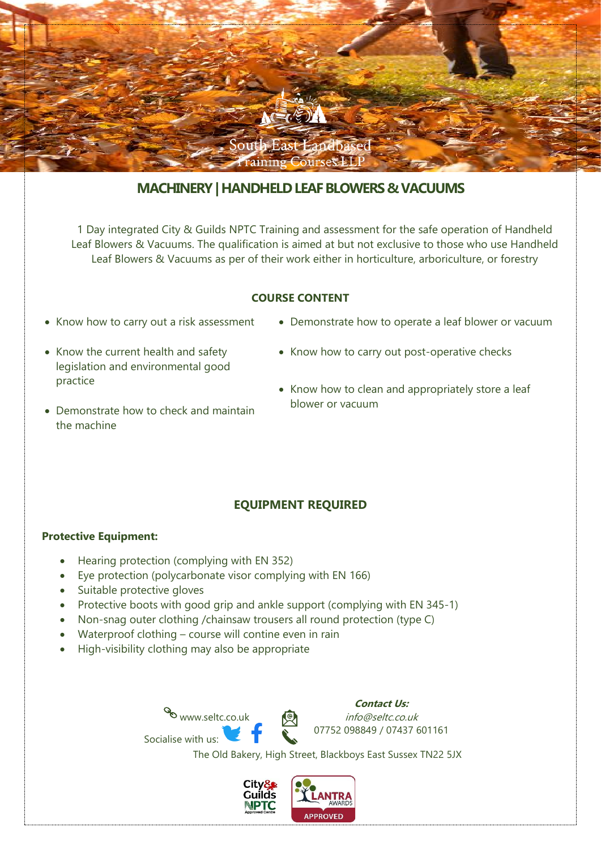

# **MACHINERY| HANDHELD LEAF BLOWERS & VACUUMS**

1 Day integrated City & Guilds NPTC Training and assessment for the safe operation of Handheld Leaf Blowers & Vacuums. The qualification is aimed at but not exclusive to those who use Handheld Leaf Blowers & Vacuums as per of their work either in horticulture, arboriculture, or forestry

### **COURSE CONTENT**

- Know how to carry out a risk assessment
- Know the current health and safety legislation and environmental good practice
- Demonstrate how to operate a leaf blower or vacuum
- Know how to carry out post-operative checks
- Know how to clean and appropriately store a leaf blower or vacuum
- Demonstrate how to check and maintain the machine

#### **EQUIPMENT REQUIRED**

#### **Protective Equipment:**

- Hearing protection (complying with EN 352)
- Eye protection (polycarbonate visor complying with EN 166)
- Suitable protective gloves
- Protective boots with good grip and ankle support (complying with EN 345-1)
- Non-snag outer clothing /chainsaw trousers all round protection (type C)
- Waterproof clothing course will contine even in rain

www.seltc.co.uk

• High-visibility clothing may also be appropriate

Socialise with us:

**Contact Us:** info@seltc.co.uk 07752 098849 / 07437 601161

The Old Bakery, High Street, Blackboys East Sussex TN22 5JX